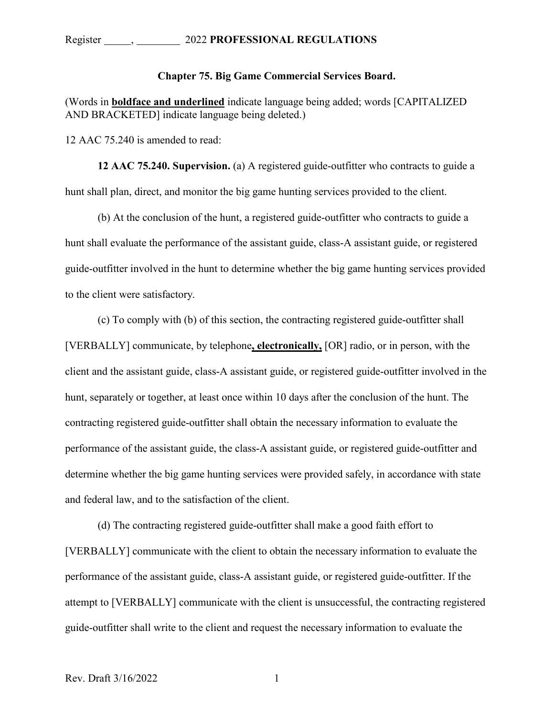## **Chapter 75. Big Game Commercial Services Board.**

(Words in **boldface and underlined** indicate language being added; words [CAPITALIZED AND BRACKETED] indicate language being deleted.)

12 AAC 75.240 is amended to read:

**12 AAC 75.240. Supervision.** (a) A registered guide-outfitter who contracts to guide a hunt shall plan, direct, and monitor the big game hunting services provided to the client.

(b) At the conclusion of the hunt, a registered guide-outfitter who contracts to guide a hunt shall evaluate the performance of the assistant guide, class-A assistant guide, or registered guide-outfitter involved in the hunt to determine whether the big game hunting services provided to the client were satisfactory.

(c) To comply with (b) of this section, the contracting registered guide-outfitter shall [VERBALLY] communicate, by telephone**, electronically,** [OR] radio, or in person, with the client and the assistant guide, class-A assistant guide, or registered guide-outfitter involved in the hunt, separately or together, at least once within 10 days after the conclusion of the hunt. The contracting registered guide-outfitter shall obtain the necessary information to evaluate the performance of the assistant guide, the class-A assistant guide, or registered guide-outfitter and determine whether the big game hunting services were provided safely, in accordance with state and federal law, and to the satisfaction of the client.

(d) The contracting registered guide-outfitter shall make a good faith effort to [VERBALLY] communicate with the client to obtain the necessary information to evaluate the performance of the assistant guide, class-A assistant guide, or registered guide-outfitter. If the attempt to [VERBALLY] communicate with the client is unsuccessful, the contracting registered guide-outfitter shall write to the client and request the necessary information to evaluate the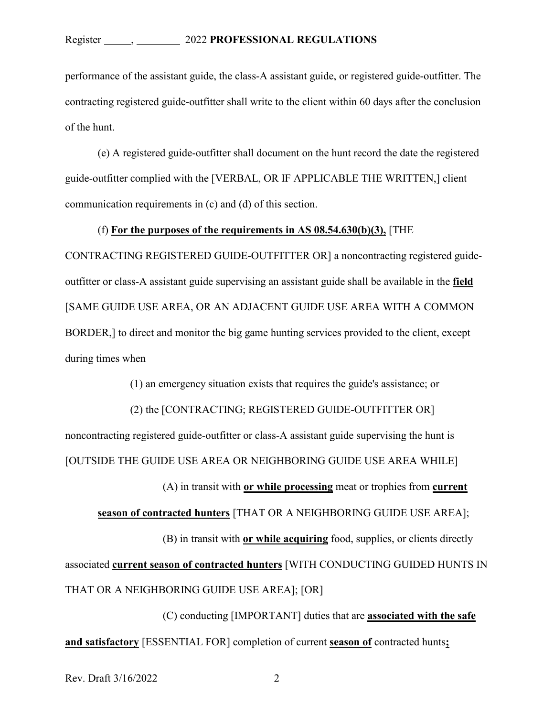performance of the assistant guide, the class-A assistant guide, or registered guide-outfitter. The contracting registered guide-outfitter shall write to the client within 60 days after the conclusion of the hunt.

(e) A registered guide-outfitter shall document on the hunt record the date the registered guide-outfitter complied with the [VERBAL, OR IF APPLICABLE THE WRITTEN,] client communication requirements in (c) and (d) of this section.

### (f) **For the purposes of the requirements in AS 08.54.630(b)(3),** [THE

CONTRACTING REGISTERED GUIDE-OUTFITTER OR] a noncontracting registered guideoutfitter or class-A assistant guide supervising an assistant guide shall be available in the **field** [SAME GUIDE USE AREA, OR AN ADJACENT GUIDE USE AREA WITH A COMMON BORDER,] to direct and monitor the big game hunting services provided to the client, except during times when

(1) an emergency situation exists that requires the guide's assistance; or

(2) the [CONTRACTING; REGISTERED GUIDE-OUTFITTER OR]

noncontracting registered guide-outfitter or class-A assistant guide supervising the hunt is [OUTSIDE THE GUIDE USE AREA OR NEIGHBORING GUIDE USE AREA WHILE]

(A) in transit with **or while processing** meat or trophies from **current** 

**season of contracted hunters** [THAT OR A NEIGHBORING GUIDE USE AREA];

(B) in transit with **or while acquiring** food, supplies, or clients directly associated **current season of contracted hunters** [WITH CONDUCTING GUIDED HUNTS IN THAT OR A NEIGHBORING GUIDE USE AREA]; [OR]

(C) conducting [IMPORTANT] duties that are **associated with the safe and satisfactory** [ESSENTIAL FOR] completion of current **season of** contracted hunts**;**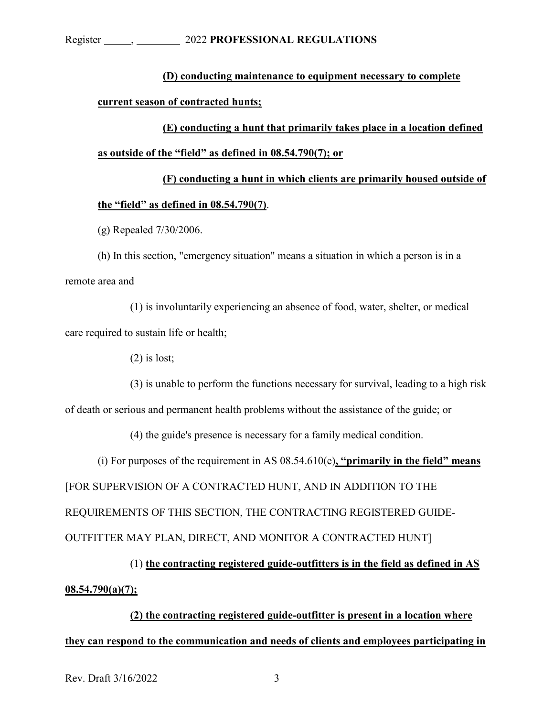# **(D) conducting maintenance to equipment necessary to complete**

# **current season of contracted hunts;**

**(E) conducting a hunt that primarily takes place in a location defined as outside of the "field" as defined in 08.54.790(7); or**

# **(F) conducting a hunt in which clients are primarily housed outside of the "field" as defined in 08.54.790(7)**.

(g) Repealed 7/30/2006.

(h) In this section, "emergency situation" means a situation in which a person is in a remote area and

(1) is involuntarily experiencing an absence of food, water, shelter, or medical care required to sustain life or health;

(2) is lost;

(3) is unable to perform the functions necessary for survival, leading to a high risk

of death or serious and permanent health problems without the assistance of the guide; or

(4) the guide's presence is necessary for a family medical condition.

(i) For purposes of the requirement in AS 08.54.610(e)**, "primarily in the field" means** [FOR SUPERVISION OF A CONTRACTED HUNT, AND IN ADDITION TO THE REQUIREMENTS OF THIS SECTION, THE CONTRACTING REGISTERED GUIDE-OUTFITTER MAY PLAN, DIRECT, AND MONITOR A CONTRACTED HUNT]

(1) **the contracting registered guide-outfitters is in the field as defined in AS 08.54.790(a)(7);**

**(2) the contracting registered guide-outfitter is present in a location where they can respond to the communication and needs of clients and employees participating in**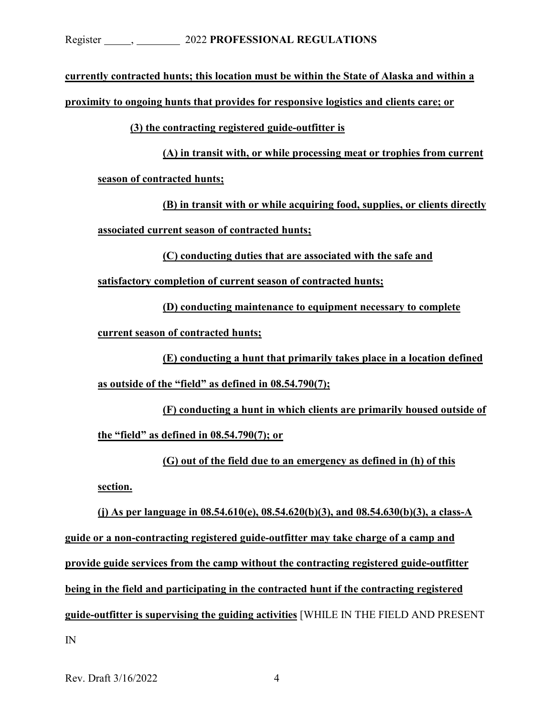**currently contracted hunts; this location must be within the State of Alaska and within a** 

**proximity to ongoing hunts that provides for responsive logistics and clients care; or**

**(3) the contracting registered guide-outfitter is** 

**(A) in transit with, or while processing meat or trophies from current season of contracted hunts;**

**(B) in transit with or while acquiring food, supplies, or clients directly associated current season of contracted hunts;**

**(C) conducting duties that are associated with the safe and**

**satisfactory completion of current season of contracted hunts;**

**(D) conducting maintenance to equipment necessary to complete** 

**current season of contracted hunts;**

**(E) conducting a hunt that primarily takes place in a location defined as outside of the "field" as defined in 08.54.790(7);**

**(F) conducting a hunt in which clients are primarily housed outside of the "field" as defined in 08.54.790(7); or** 

**(G) out of the field due to an emergency as defined in (h) of this section.**

**(j) As per language in 08.54.610(e), 08.54.620(b)(3), and 08.54.630(b)(3), a class-A guide or a non-contracting registered guide-outfitter may take charge of a camp and provide guide services from the camp without the contracting registered guide-outfitter being in the field and participating in the contracted hunt if the contracting registered guide-outfitter is supervising the guiding activities** [WHILE IN THE FIELD AND PRESENT IN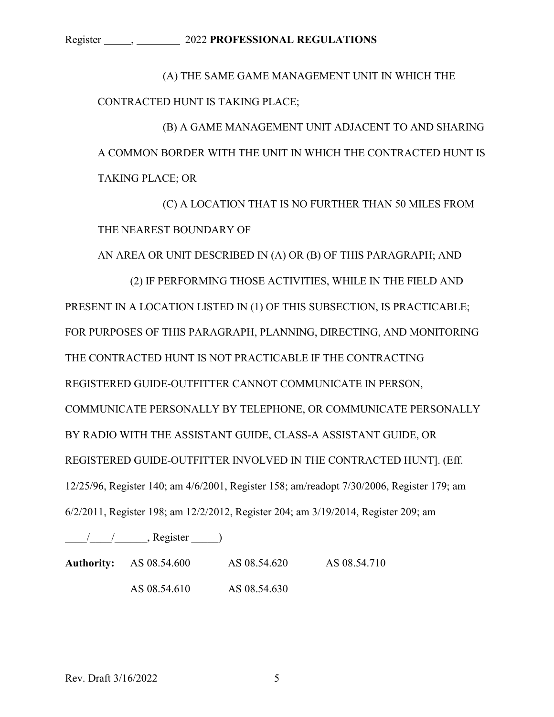#### Register , 2022 **PROFESSIONAL REGULATIONS**

(A) THE SAME GAME MANAGEMENT UNIT IN WHICH THE CONTRACTED HUNT IS TAKING PLACE;

(B) A GAME MANAGEMENT UNIT ADJACENT TO AND SHARING A COMMON BORDER WITH THE UNIT IN WHICH THE CONTRACTED HUNT IS TAKING PLACE; OR

(C) A LOCATION THAT IS NO FURTHER THAN 50 MILES FROM THE NEAREST BOUNDARY OF

AN AREA OR UNIT DESCRIBED IN (A) OR (B) OF THIS PARAGRAPH; AND

(2) IF PERFORMING THOSE ACTIVITIES, WHILE IN THE FIELD AND PRESENT IN A LOCATION LISTED IN (1) OF THIS SUBSECTION, IS PRACTICABLE; FOR PURPOSES OF THIS PARAGRAPH, PLANNING, DIRECTING, AND MONITORING THE CONTRACTED HUNT IS NOT PRACTICABLE IF THE CONTRACTING REGISTERED GUIDE-OUTFITTER CANNOT COMMUNICATE IN PERSON, COMMUNICATE PERSONALLY BY TELEPHONE, OR COMMUNICATE PERSONALLY BY RADIO WITH THE ASSISTANT GUIDE, CLASS-A ASSISTANT GUIDE, OR REGISTERED GUIDE-OUTFITTER INVOLVED IN THE CONTRACTED HUNT]. (Eff. 12/25/96, Register 140; am 4/6/2001, Register 158; am/readopt 7/30/2006, Register 179; am 6/2/2011, Register 198; am 12/2/2012, Register 204; am 3/19/2014, Register 209; am

 $\frac{1}{2}$  /  $\frac{1}{2}$ , Register  $\frac{1}{2}$ 

| <b>Authority:</b> AS 08.54.600 | AS 08.54.620 | AS 08.54.710 |
|--------------------------------|--------------|--------------|
| AS 08.54.610                   | AS 08.54.630 |              |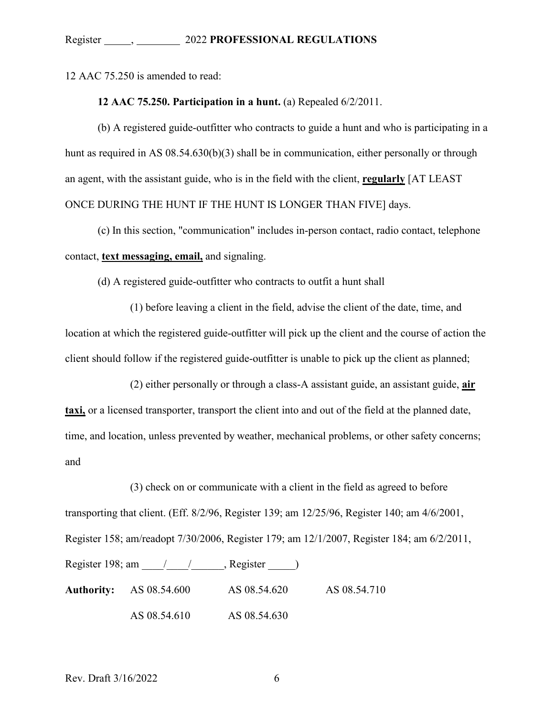12 AAC 75.250 is amended to read:

### **12 AAC 75.250. Participation in a hunt.** (a) Repealed 6/2/2011.

(b) A registered guide-outfitter who contracts to guide a hunt and who is participating in a hunt as required in AS 08.54.630(b)(3) shall be in communication, either personally or through an agent, with the assistant guide, who is in the field with the client, **regularly** [AT LEAST ONCE DURING THE HUNT IF THE HUNT IS LONGER THAN FIVE] days.

(c) In this section, "communication" includes in-person contact, radio contact, telephone contact, **text messaging, email,** and signaling.

(d) A registered guide-outfitter who contracts to outfit a hunt shall

(1) before leaving a client in the field, advise the client of the date, time, and location at which the registered guide-outfitter will pick up the client and the course of action the client should follow if the registered guide-outfitter is unable to pick up the client as planned;

(2) either personally or through a class-A assistant guide, an assistant guide, **air taxi,** or a licensed transporter, transport the client into and out of the field at the planned date, time, and location, unless prevented by weather, mechanical problems, or other safety concerns; and

(3) check on or communicate with a client in the field as agreed to before transporting that client. (Eff. 8/2/96, Register 139; am 12/25/96, Register 140; am 4/6/2001, Register 158; am/readopt 7/30/2006, Register 179; am 12/1/2007, Register 184; am 6/2/2011, Register 198; am  $\frac{1}{2}$  , Register  $\frac{1}{2}$ **Authority:** AS 08.54.600 AS 08.54.620 AS 08.54.710 AS 08.54.610 AS 08.54.630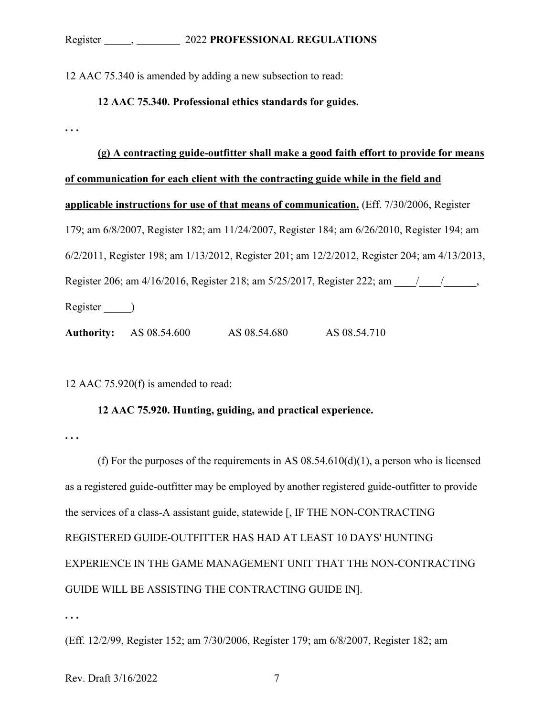12 AAC 75.340 is amended by adding a new subsection to read:

**12 AAC 75.340. Professional ethics standards for guides.**

**(g) A contracting guide-outfitter shall make a good faith effort to provide for means of communication for each client with the contracting guide while in the field and applicable instructions for use of that means of communication.** (Eff. 7/30/2006, Register 179; am 6/8/2007, Register 182; am 11/24/2007, Register 184; am 6/26/2010, Register 194; am 6/2/2011, Register 198; am 1/13/2012, Register 201; am 12/2/2012, Register 204; am 4/13/2013, Register 206; am 4/16/2016, Register 218; am 5/25/2017, Register 222; am \_\_\_\_\_/\_\_\_\_\_\_\_\_\_\_, Register \_\_\_\_\_)

**Authority:** AS 08.54.600 AS 08.54.680 AS 08.54.710

12 AAC 75.920(f) is amended to read:

## **12 AAC 75.920. Hunting, guiding, and practical experience.**

**. . .** 

**. . .** 

(f) For the purposes of the requirements in AS  $08.54.610(d)(1)$ , a person who is licensed as a registered guide-outfitter may be employed by another registered guide-outfitter to provide the services of a class-A assistant guide, statewide [, IF THE NON-CONTRACTING REGISTERED GUIDE-OUTFITTER HAS HAD AT LEAST 10 DAYS' HUNTING EXPERIENCE IN THE GAME MANAGEMENT UNIT THAT THE NON-CONTRACTING GUIDE WILL BE ASSISTING THE CONTRACTING GUIDE IN].

**. . .** 

(Eff. 12/2/99, Register 152; am 7/30/2006, Register 179; am 6/8/2007, Register 182; am